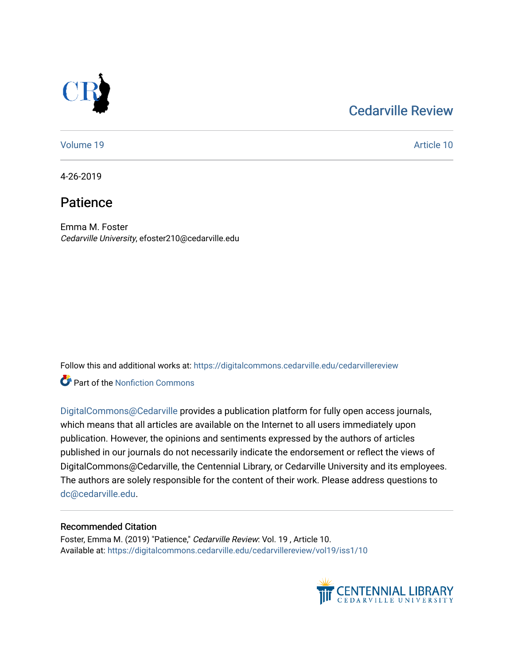## [Cedarville Review](https://digitalcommons.cedarville.edu/cedarvillereview)



[Volume 19](https://digitalcommons.cedarville.edu/cedarvillereview/vol19) Article 10

4-26-2019

## Patience

Emma M. Foster Cedarville University, efoster210@cedarville.edu

Follow this and additional works at: [https://digitalcommons.cedarville.edu/cedarvillereview](https://digitalcommons.cedarville.edu/cedarvillereview?utm_source=digitalcommons.cedarville.edu%2Fcedarvillereview%2Fvol19%2Fiss1%2F10&utm_medium=PDF&utm_campaign=PDFCoverPages) 

**C** Part of the Nonfiction Commons

[DigitalCommons@Cedarville](http://digitalcommons.cedarville.edu/) provides a publication platform for fully open access journals, which means that all articles are available on the Internet to all users immediately upon publication. However, the opinions and sentiments expressed by the authors of articles published in our journals do not necessarily indicate the endorsement or reflect the views of DigitalCommons@Cedarville, the Centennial Library, or Cedarville University and its employees. The authors are solely responsible for the content of their work. Please address questions to [dc@cedarville.edu.](mailto:dc@cedarville.edu)

#### Recommended Citation

Foster, Emma M. (2019) "Patience," Cedarville Review: Vol. 19 , Article 10. Available at: [https://digitalcommons.cedarville.edu/cedarvillereview/vol19/iss1/10](https://digitalcommons.cedarville.edu/cedarvillereview/vol19/iss1/10?utm_source=digitalcommons.cedarville.edu%2Fcedarvillereview%2Fvol19%2Fiss1%2F10&utm_medium=PDF&utm_campaign=PDFCoverPages)

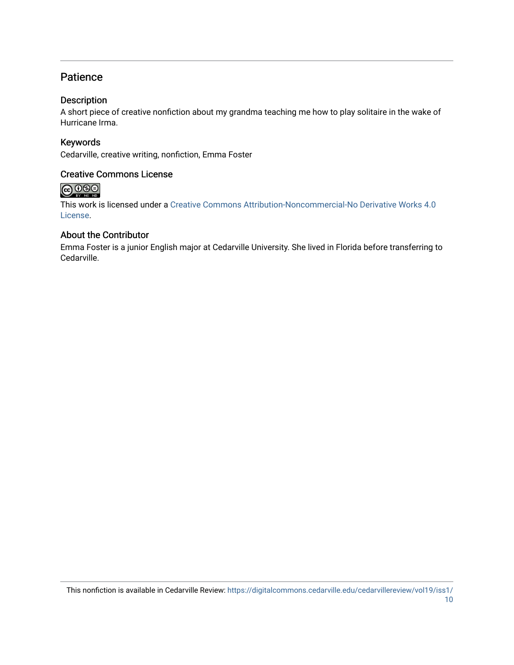### **Patience**

#### Description

A short piece of creative nonfiction about my grandma teaching me how to play solitaire in the wake of Hurricane Irma.

#### Keywords

Cedarville, creative writing, nonfiction, Emma Foster

#### Creative Commons License



This work is licensed under a [Creative Commons Attribution-Noncommercial-No Derivative Works 4.0](http://creativecommons.org/licenses/by-nc-nd/4.0/) [License](http://creativecommons.org/licenses/by-nc-nd/4.0/).

#### About the Contributor

Emma Foster is a junior English major at Cedarville University. She lived in Florida before transferring to Cedarville.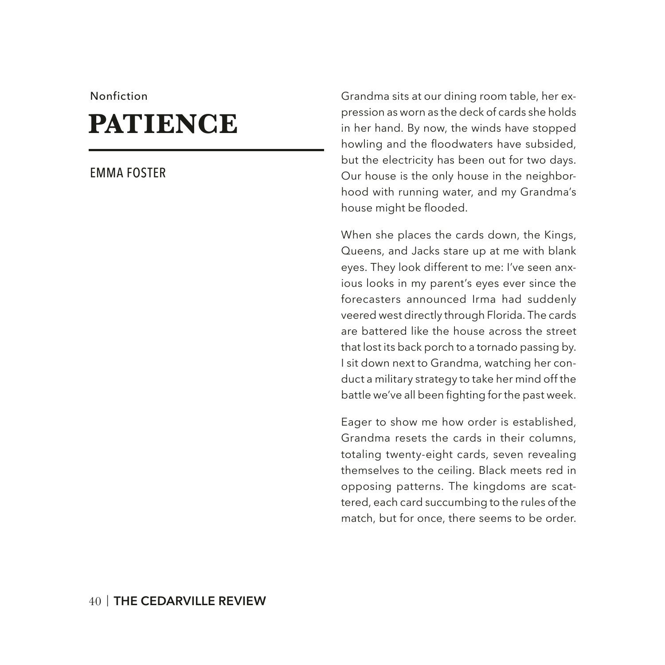#### Nonfiction

# **PATIENCE**

#### EMMA FOSTER

Grandma sits at our dining room table, her expression as worn as the deck of cards she holds in her hand. By now, the winds have stopped howling and the floodwaters have subsided, but the electricity has been out for two days. Our house is the only house in the neighborhood with running water, and my Grandma's house might be flooded.

When she places the cards down, the Kings, Queens, and Jacks stare up at me with blank eyes. They look different to me: I've seen anxious looks in my parent's eyes ever since the forecasters announced Irma had suddenly veered west directly through Florida. The cards are battered like the house across the street that lost its back porch to a tornado passing by. I sit down next to Grandma, watching her conduct a military strategy to take her mind off the battle we've all been fighting for the past week.

Eager to show me how order is established, Grandma resets the cards in their columns, totaling twenty-eight cards, seven revealing themselves to the ceiling. Black meets red in opposing patterns. The kingdoms are scattered, each card succumbing to the rules of the match, but for once, there seems to be order.